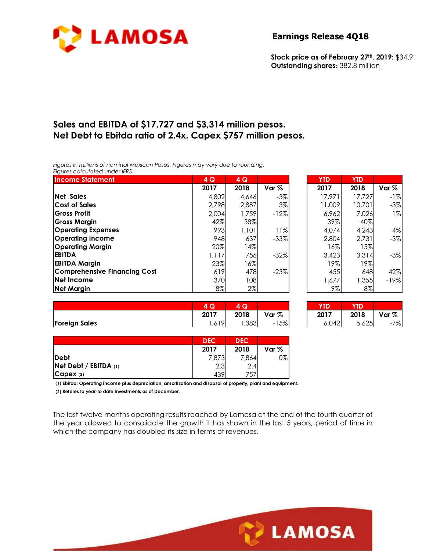

### **Earnings Release 4Q18**

**Stock price as of February 27th, 2019:** \$34.9 **Outstanding shares:** 382.8 million

# **Sales and EBITDA of \$17,727 and \$3,314 million pesos. Net Debt to Ebitda ratio of 2.4x. Capex \$757 million pesos.**

*Figures in millions of nominal Mexican Pesos. Figures may vary due to rounding. Figures calculated under IFRS.* 

| <b>Income Statement</b>             | 4Q    | 4Q    |        | <b>YTD</b> | <b>YTD</b> |         |
|-------------------------------------|-------|-------|--------|------------|------------|---------|
|                                     | 2017  | 2018  | Var %  | 2017       | 2018       | Var $%$ |
| <b>Net Sales</b>                    | 4,802 | 4,646 | $-3\%$ | 17.971     | 17.727     | $-1%$   |
| <b>Cost of Sales</b>                | 2,798 | 2,887 | 3%     | 11,009     | 10,701     | $-3%$   |
| <b>Gross Profit</b>                 | 2,004 | 1,759 | $-12%$ | 6,962      | 7,026      | $1\%$   |
| Gross Margin                        | 42%   | 38%   |        | 39%        | 40%        |         |
| <b>Operating Expenses</b>           | 993   | 1,101 | 11%    | 4,074      | 4,243      | 4%      |
| <b>Operating Income</b>             | 948   | 637   | $-33%$ | 2,804      | 2,731      | $-3%$   |
| <b>Operating Margin</b>             | 20%   | 4%    |        | $16\%$     | $ 5\% $    |         |
| <b>EBITDA</b>                       | 1,117 | 756   | $-32%$ | 3,423      | 3,314      | $-3%$   |
| <b>EBITDA Margin</b>                | 23%   | 16%   |        | 19%        | 19%        |         |
| <b>Comprehensive Financing Cost</b> | 619   | 478   | $-23%$ | 455        | 648        | 42%     |
| <b>Net Income</b>                   | 370   | 108   |        | 1,677      | 1,355      | $-19%$  |
| <b>Net Margin</b>                   | 8%    | $2\%$ |        | 9%         | $8\%$      |         |

| 4Q    | 4 Q   |        | <b>YTD</b> | <b>YTD</b> |        |
|-------|-------|--------|------------|------------|--------|
| 2017  | 2018  | Var %  | 2017       | 2018       | Var %  |
| 4,802 | 4,646 | $-3%$  | 17.971     | 17.727     | -1%    |
| 2,798 | 2,887 | 3%     | 11,009     | 10,701     | $-3%$  |
| 2,004 | 1,759 | $-12%$ | 6,962      | 7.026      | $1\%$  |
| 42%   | 38%   |        | 39%        | 40%        |        |
| 993   | 1,101 | 11%    | 4.074      | 4,243      | 4%     |
| 948   | 637   | $-33%$ | 2,804      | 2,731      | $-3%$  |
| 20%   | 14%   |        | 16%        | 15%        |        |
| 1,117 | 756   | $-32%$ | 3,423      | 3,314      | $-3%$  |
| 23%   | 16%   |        | 19%        | 19%        |        |
| 619   | 478   | $-23%$ | 455        | 648        | 42%    |
| 370   | 108   |        | 1,677      | 1,355      | $-19%$ |
| 8%    | 2%    |        | 9%         | $8\%$      |        |

|                      | $\sim$<br>צי | u    |          | YTD   | YTD   |                                |
|----------------------|--------------|------|----------|-------|-------|--------------------------------|
|                      | 2017         | 2018 | Var %    | 2017  | 2018  | Var $%$                        |
| <b>Foreign Sales</b> | .19<br>ל וס, | ,383 | 15%<br>- | 6,042 | 5,625 | 7%<br>$\overline{\phantom{0}}$ |

| 4 Q   | 74 Q. |        | TD.   |       |       |
|-------|-------|--------|-------|-------|-------|
| 2017  | 2018  | Var %  | 2017  | 2018  | Var % |
| .,619 | ,383  | $-15%$ | 6,042 | 5,625 | -7%   |

**LAMOSA** 

|                           | <b>DEC</b> | <b>DEC</b> |       |
|---------------------------|------------|------------|-------|
|                           | 2017       | 2018       | Var % |
| <b>Debt</b>               | 7,873      | 7.864      | 0%    |
| $Net$ Debt / EBITDA $(1)$ | 2.3        | 2.4        |       |
| CapeX(2)                  | 439'       | 757        |       |

**(1) Ebitda: Operating income plus depreciation, amortization and disposal of property, plant and equipment.**

**(2) Referes to year-to date investments as of December.**

The last twelve months operating results reached by Lamosa at the end of the fourth quarter of the year allowed to consolidate the growth it has shown in the last 5 years, period of time in which the company has doubled its size in terms of revenues.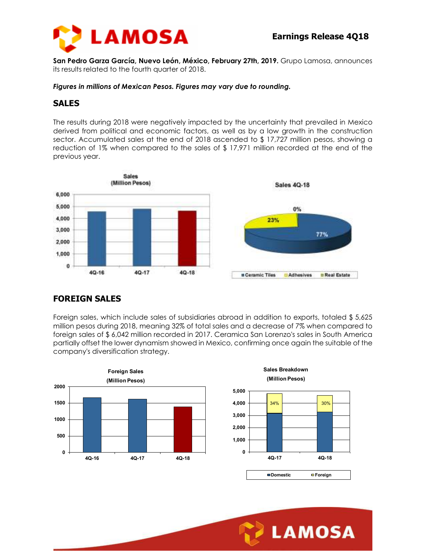



**San Pedro Garza García, Nuevo León, México, February 27th, 2019.** Grupo Lamosa, announces its results related to the fourth quarter of 2018.

*Figures in millions of Mexican Pesos. Figures may vary due to rounding.* 

## **SALES**

The results during 2018 were negatively impacted by the uncertainty that prevailed in Mexico derived from political and economic factors, as well as by a low growth in the construction sector. Accumulated sales at the end of 2018 ascended to \$ 17,727 million pesos, showing a reduction of 1% when compared to the sales of \$ 17,971 million recorded at the end of the previous year.



# **FOREIGN SALES**

Foreign sales, which include sales of subsidiaries abroad in addition to exports, totaled \$ 5,625 million pesos during 2018, meaning 32% of total sales and a decrease of 7% when compared to foreign sales of \$ 6,042 million recorded in 2017. Ceramica San Lorenzo's sales in South America partially offset the lower dynamism showed in Mexico, confirming once again the suitable of the company's diversification strategy.





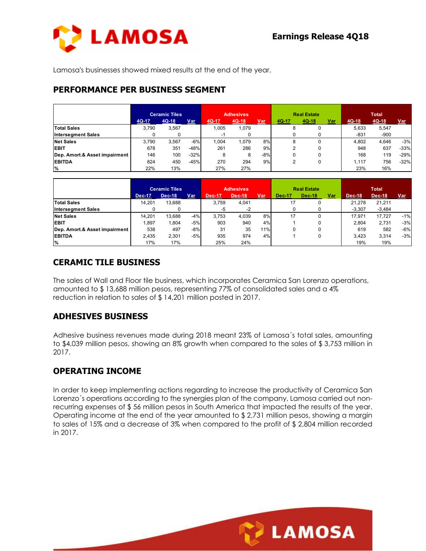

Lamosa's businesses showed mixed results at the end of the year.

#### **PERFORMANCE PER BUSINESS SEGMENT**

|                               | <b>Ceramic Tiles</b> |         |        | <b>Adhesives</b> |         |       | <b>Real Estate</b> |         |     | <b>Total</b> |         |        |
|-------------------------------|----------------------|---------|--------|------------------|---------|-------|--------------------|---------|-----|--------------|---------|--------|
|                               | 4Q-17                | $4Q-18$ | Var    | 4Q-17            | $4Q-18$ | Var   | 4Q-17              | $4Q-18$ | Var | $4Q-18$      | $4Q-18$ | Var    |
| <b>Total Sales</b>            | 3.790                | 3.567   |        | .005             | 1.079   |       | 8                  |         |     | 5.633        | 5,547   |        |
| <b>Intersegment Sales</b>     |                      |         |        |                  |         |       |                    |         |     | $-831$       | $-900$  |        |
| <b>Net Sales</b>              | 3.790                | 3.567   | $-6%$  | .004             | 1.079   | 8%    | 8                  |         |     | 4.802        | 4.646   | $-3%$  |
| <b>EBIT</b>                   | 678                  | 351     | $-48%$ | 261              | 286     | 9%    |                    |         |     | 948          | 637     | $-33%$ |
| Dep. Amort.& Asset impairment | 146                  | 100     | $-32%$ | 8                | 8       | $-8%$ |                    |         |     | 168          | 119     | $-29%$ |
| <b>EBITDA</b>                 | 824                  | 450     | $-45%$ | 270              | 294     | 9%    |                    |         |     | 1.117        | 756     | $-32%$ |
| %                             | 22%                  | 13%     |        | 27%              | 27%     |       |                    |         |     | 23%          | 16%     |        |

|                               | <b>Ceramic Tiles</b> |               | <b>Adhesives</b> |               |        | <b>Real Estate</b> |        |        | <b>Total</b> |          |          |       |
|-------------------------------|----------------------|---------------|------------------|---------------|--------|--------------------|--------|--------|--------------|----------|----------|-------|
|                               | <b>Dec-17</b>        | <b>Dec-18</b> | Var              | <b>Dec-17</b> | Dec-18 | Var                | Dec-17 | Dec-18 | <u>Var</u>   | Dec-18   | Dec-18   | Var   |
| <b>Total Sales</b>            | 14.201               | 13.688        |                  | 3.759         | 4.041  |                    |        |        |              | 21.278   | 21,211   |       |
| <b>Intersegment Sales</b>     |                      |               |                  | -5            | $-2$   |                    |        |        |              | $-3.307$ | $-3,484$ |       |
| <b>Net Sales</b>              | 14.201               | 13.688        | $-4%$            | 3.753         | 4.039  | 8%                 | 17     |        |              | 17.971   | 17.727   | $-1%$ |
| <b>EBIT</b>                   | 1.897                | .804          | $-5%$            | 903           | 940    | 4%                 |        |        |              | 2.804    | 2.731    | $-3%$ |
| Dep. Amort.& Asset impairment | 538                  | 497           | $-8\%$           | 31            | 35     | 11%                | 0      |        |              | 619      | 582      | $-6%$ |
| <b>EBITDA</b>                 | 2,435                | 2.301         | $-5%$            | 935           | 974    | 4%                 |        |        |              | 3.423    | 3.314    | $-3%$ |
| $\frac{9}{6}$                 | 17%                  | 17%           |                  | 25%           | 24%    |                    |        |        |              | 19%      | 19%      |       |

# **CERAMIC TILE BUSINESS**

The sales of Wall and Floor tile business, which incorporates Ceramica San Lorenzo operations, amounted to \$ 13,688 million pesos, representing 77% of consolidated sales and a 4% reduction in relation to sales of \$ 14,201 million posted in 2017.

# **ADHESIVES BUSINESS**

Adhesive business revenues made during 2018 meant 23% of Lamosa´s total sales, amounting to \$4,039 million pesos, showing an 8% growth when compared to the sales of \$ 3,753 million in 2017.

# **OPERATING INCOME**

In order to keep implementing actions regarding to increase the productivity of Ceramica San Lorenzo´s operations according to the synergies plan of the company, Lamosa carried out nonrecurring expenses of \$ 56 million pesos in South America that impacted the results of the year. Operating income at the end of the year amounted to \$ 2,731 million pesos, showing a margin to sales of 15% and a decrease of 3% when compared to the profit of \$ 2,804 million recorded in 2017.

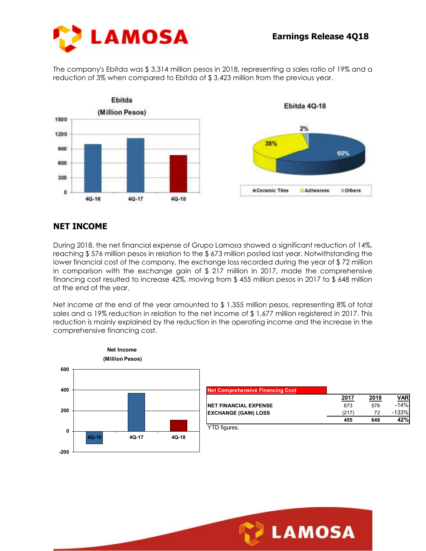

The company's Ebitda was \$ 3,314 million pesos in 2018, representing a sales ratio of 19% and a reduction of 3% when compared to Ebitda of \$ 3,423 million from the previous year.



# **NET INCOME**

During 2018, the net financial expense of Grupo Lamosa showed a significant reduction of 14%, reaching \$ 576 million pesos in relation to the \$ 673 million posted last year. Notwithstanding the lower financial cost of the company, the exchange loss recorded during the year of \$ 72 million in comparison with the exchange gain of \$ 217 million in 2017, made the comprehensive financing cost resulted to increase 42%, moving from \$ 455 million pesos in 2017 to \$ 648 million at the end of the year.

Net income at the end of the year amounted to \$1,355 million pesos, representing 8% of total sales and a 19% reduction in relation to the net income of \$1,677 million registered in 2017. This reduction is mainly explained by the reduction in the operating income and the increase in the comprehensive financing cost.



| <b>Net Comprehensive Financing Cost</b> |      |      |            |
|-----------------------------------------|------|------|------------|
|                                         | 2017 | 2018 | <b>VAR</b> |
| <b>INET FINANCIAL EXPENSE</b>           | 673  | 576  | $-14%$     |
| <b>EXCHANGE (GAIN) LOSS</b>             | (217 | 72   | $-133%$    |
|                                         | 455  | 648  | 42%        |
|                                         |      |      |            |

YTD figures.